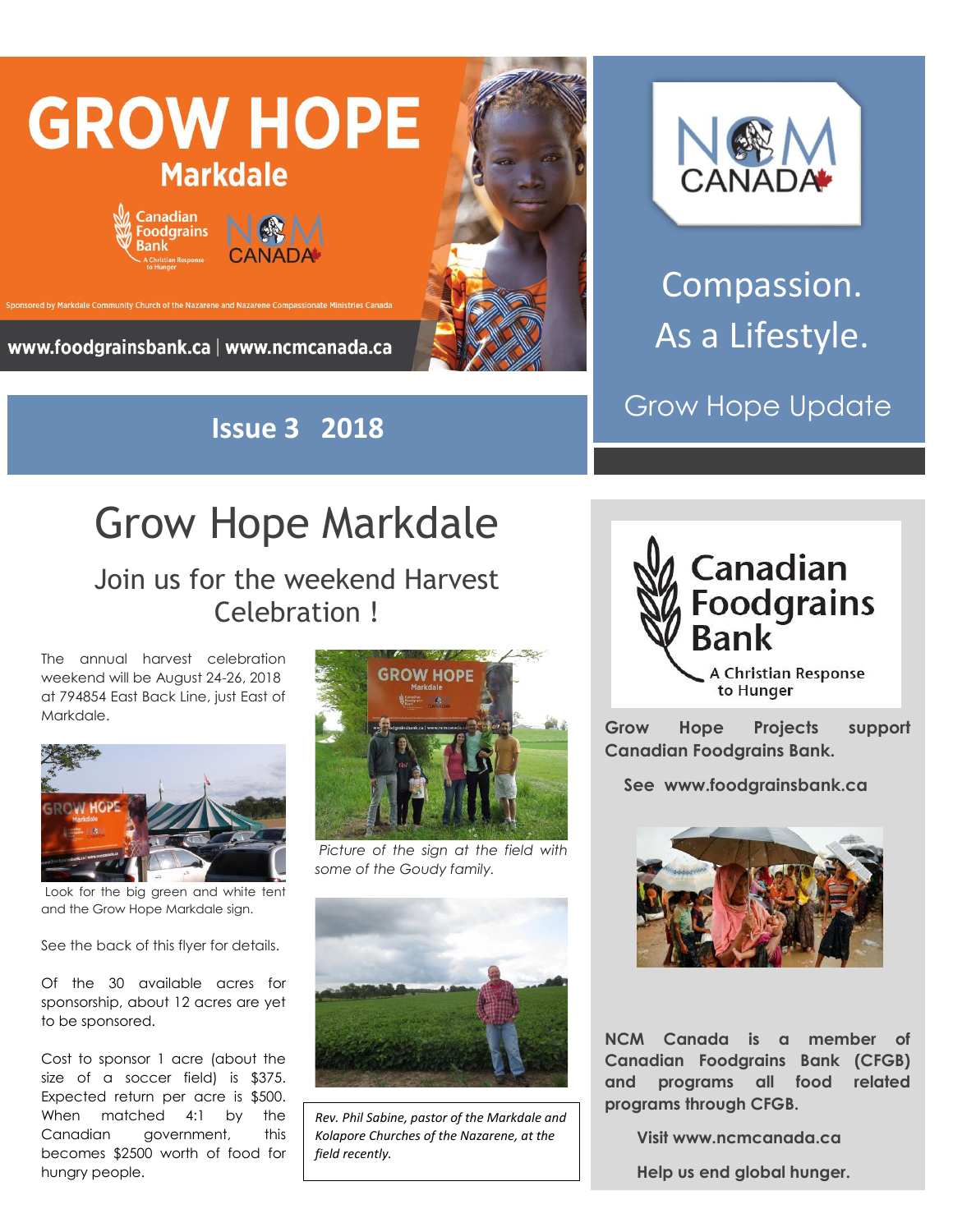

**Issue 3 2018**



Compassion. As a Lifestyle.

Grow Hope Update

## Grow Hope Markdale

## Join us for the weekend Harvest Celebration !

The annual harvest celebration weekend will be August 24-26, 2018 at 794854 East Back Line, just East of Markdale.



Look for the big green and white tent and the Grow Hope Markdale sign.

See the back of this flyer for details.

Of the 30 available acres for sponsorship, about 12 acres are yet to be sponsored.

Cost to sponsor 1 acre (about the size of a soccer field) is \$375. Expected return per acre is \$500. When matched 4:1 by the Canadian government, this becomes \$2500 worth of food for hungry people.



*Picture of the sign at the field with some of the Goudy family.*



*Rev. Phil Sabine, pastor of the Markdale and Kolapore Churches of the Nazarene, at the field recently.*



**Grow Hope Projects support Canadian Foodgrains Bank.** 

 **See www.foodgrainsbank.ca**



**NCM Canada is a member of Canadian Foodgrains Bank (CFGB) and programs all food related programs through CFGB.**

 **Visit www.ncmcanada.ca**

 **Help us end global hunger.**